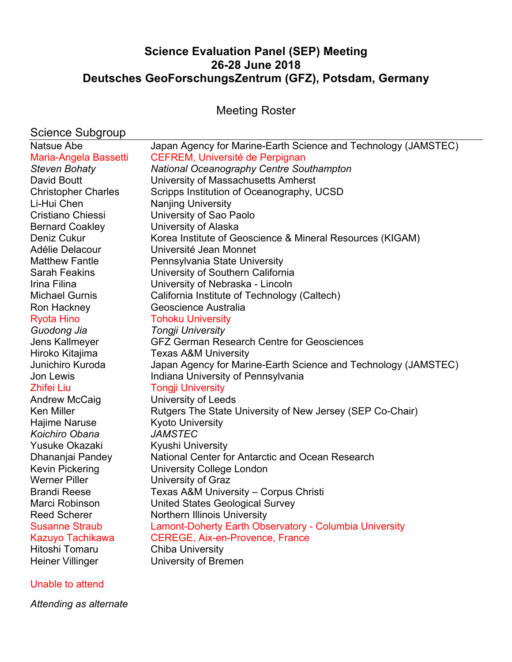# **Science Evaluation Panel (SEP) Meeting 26-28 June 2018 Deutsches GeoForschungsZentrum (GFZ), Potsdam, Germany**

Meeting Roster

|  | Science Subgroup |
|--|------------------|
|--|------------------|

| Natsue Abe                 | Japan Agency for Marine-Earth Science and Technology (JAMSTEC) |
|----------------------------|----------------------------------------------------------------|
| Maria-Angela Bassetti      | <b>CEFREM, Université de Perpignan</b>                         |
| <b>Steven Bohaty</b>       | <b>National Oceanography Centre Southampton</b>                |
| David Boutt                | University of Massachusetts Amherst                            |
| <b>Christopher Charles</b> | Scripps Institution of Oceanography, UCSD                      |
| Li-Hui Chen                | <b>Nanjing University</b>                                      |
| Cristiano Chiessi          | University of Sao Paolo                                        |
| <b>Bernard Coakley</b>     | University of Alaska                                           |
| Deniz Cukur                | Korea Institute of Geoscience & Mineral Resources (KIGAM)      |
| Adélie Delacour            | Université Jean Monnet                                         |
| <b>Matthew Fantle</b>      | Pennsylvania State University                                  |
| <b>Sarah Feakins</b>       | University of Southern California                              |
| Irina Filina               | University of Nebraska - Lincoln                               |
| Michael Gurnis             | California Institute of Technology (Caltech)                   |
| Ron Hackney                | Geoscience Australia                                           |
| <b>Ryota Hino</b>          | <b>Tohoku University</b>                                       |
| Guodong Jia                | <b>Tongji University</b>                                       |
| Jens Kallmeyer             | <b>GFZ German Research Centre for Geosciences</b>              |
| Hiroko Kitajima            | <b>Texas A&amp;M University</b>                                |
| Junichiro Kuroda           | Japan Agency for Marine-Earth Science and Technology (JAMSTEC) |
| Jon Lewis                  | Indiana University of Pennsylvania                             |
| <b>Zhifei Liu</b>          | <b>Tongji University</b>                                       |
| Andrew McCaig              | University of Leeds                                            |
| <b>Ken Miller</b>          | Rutgers The State University of New Jersey (SEP Co-Chair)      |
| Hajime Naruse              | <b>Kyoto University</b>                                        |
| Koichiro Obana             | <b>JAMSTEC</b>                                                 |
| Yusuke Okazaki             | Kyushi University                                              |
| Dhananjai Pandey           | National Center for Antarctic and Ocean Research               |
| <b>Kevin Pickering</b>     | University College London                                      |
| <b>Werner Piller</b>       | University of Graz                                             |
| <b>Brandi Reese</b>        | Texas A&M University - Corpus Christi                          |
| Marci Robinson             | <b>United States Geological Survey</b>                         |
| <b>Reed Scherer</b>        | Northern Illinois University                                   |
| <b>Susanne Straub</b>      | Lamont-Doherty Earth Observatory - Columbia University         |
| Kazuyo Tachikawa           | <b>CEREGE, Aix-en-Provence, France</b>                         |
| Hitoshi Tomaru             | <b>Chiba University</b>                                        |
| <b>Heiner Villinger</b>    | University of Bremen                                           |
| Unable to attend           |                                                                |

*Attending as alternate*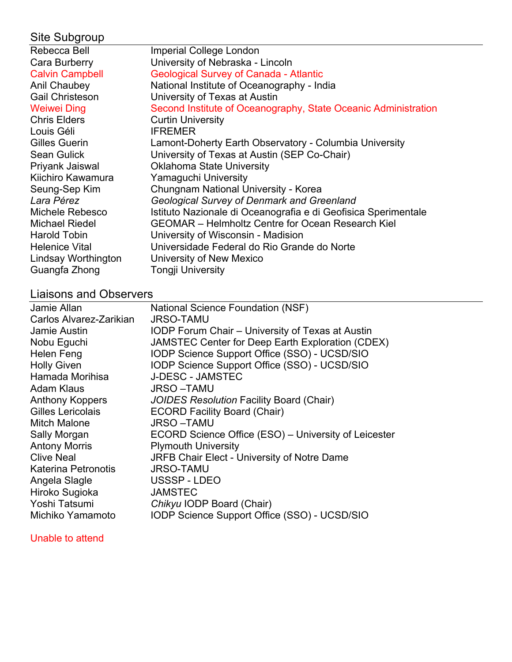| Site Subgroup          |                                                                |
|------------------------|----------------------------------------------------------------|
| Rebecca Bell           | Imperial College London                                        |
| Cara Burberry          | University of Nebraska - Lincoln                               |
| <b>Calvin Campbell</b> | <b>Geological Survey of Canada - Atlantic</b>                  |
| Anil Chaubey           | National Institute of Oceanography - India                     |
| <b>Gail Christeson</b> | University of Texas at Austin                                  |
| <b>Weiwei Ding</b>     | Second Institute of Oceanography, State Oceanic Administration |
| <b>Chris Elders</b>    | <b>Curtin University</b>                                       |
| Louis Géli             | <b>IFREMER</b>                                                 |
| Gilles Guerin          | Lamont-Doherty Earth Observatory - Columbia University         |
| <b>Sean Gulick</b>     | University of Texas at Austin (SEP Co-Chair)                   |
| Priyank Jaiswal        | <b>Oklahoma State University</b>                               |
| Kiichiro Kawamura      | Yamaguchi University                                           |
| Seung-Sep Kim          | Chungnam National University - Korea                           |
| Lara Pérez             | Geological Survey of Denmark and Greenland                     |
| Michele Rebesco        | Istituto Nazionale di Oceanografia e di Geofisica Sperimentale |
| <b>Michael Riedel</b>  | <b>GEOMAR</b> – Helmholtz Centre for Ocean Research Kiel       |
| <b>Harold Tobin</b>    | University of Wisconsin - Madision                             |
| <b>Helenice Vital</b>  | Universidade Federal do Rio Grande do Norte                    |
| Lindsay Worthington    | University of New Mexico                                       |
| Guangfa Zhong          | <b>Tongji University</b>                                       |
|                        |                                                                |

# Liaisons and Observers

| Jamie Allan                | <b>National Science Foundation (NSF)</b>                |
|----------------------------|---------------------------------------------------------|
| Carlos Alvarez-Zarikian    | <b>JRSO-TAMU</b>                                        |
| Jamie Austin               | <b>IODP Forum Chair - University of Texas at Austin</b> |
| Nobu Eguchi                | JAMSTEC Center for Deep Earth Exploration (CDEX)        |
| <b>Helen Feng</b>          | IODP Science Support Office (SSO) - UCSD/SIO            |
| <b>Holly Given</b>         | IODP Science Support Office (SSO) - UCSD/SIO            |
| Hamada Morihisa            | <b>J-DESC - JAMSTEC</b>                                 |
| <b>Adam Klaus</b>          | <b>JRSO-TAMU</b>                                        |
| Anthony Koppers            | JOIDES Resolution Facility Board (Chair)                |
| Gilles Lericolais          | <b>ECORD Facility Board (Chair)</b>                     |
| <b>Mitch Malone</b>        | <b>JRSO-TAMU</b>                                        |
| Sally Morgan               | ECORD Science Office (ESO) – University of Leicester    |
| <b>Antony Morris</b>       | <b>Plymouth University</b>                              |
| <b>Clive Neal</b>          | JRFB Chair Elect - University of Notre Dame             |
| <b>Katerina Petronotis</b> | <b>JRSO-TAMU</b>                                        |
| Angela Slagle              | USSSP-LDEO                                              |
| Hiroko Sugioka             | <b>JAMSTEC</b>                                          |
| Yoshi Tatsumi              | Chikyu IODP Board (Chair)                               |
| Michiko Yamamoto           | IODP Science Support Office (SSO) - UCSD/SIO            |
|                            |                                                         |

## Unable to attend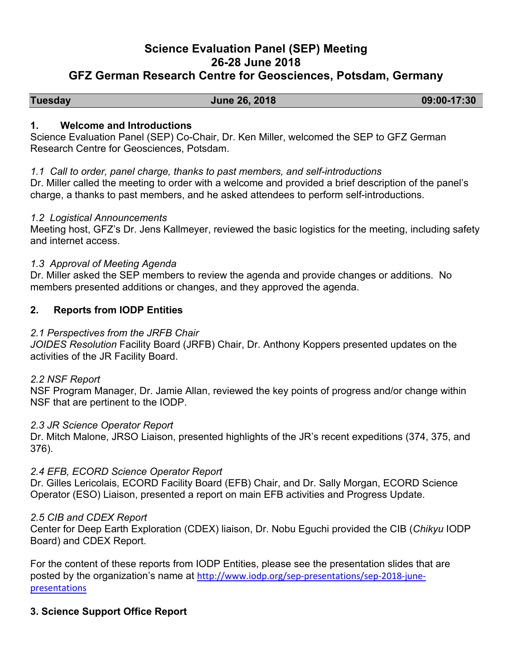# **Science Evaluation Panel (SEP) Meeting 26-28 June 2018 GFZ German Research Centre for Geosciences, Potsdam, Germany**

# **Tuesday June 26, 2018 09:00-17:30**

#### **1. Welcome and Introductions**

Science Evaluation Panel (SEP) Co-Chair, Dr. Ken Miller, welcomed the SEP to GFZ German Research Centre for Geosciences, Potsdam.

#### *1.1 Call to order, panel charge, thanks to past members, and self-introductions*

Dr. Miller called the meeting to order with a welcome and provided a brief description of the panel's charge, a thanks to past members, and he asked attendees to perform self-introductions.

#### *1.2 Logistical Announcements*

Meeting host, GFZ's Dr. Jens Kallmeyer, reviewed the basic logistics for the meeting, including safety and internet access.

### *1.3 Approval of Meeting Agenda*

Dr. Miller asked the SEP members to review the agenda and provide changes or additions. No members presented additions or changes, and they approved the agenda.

### **2. Reports from IODP Entities**

### *2.1 Perspectives from the JRFB Chair*

*JOIDES Resolution* Facility Board (JRFB) Chair, Dr. Anthony Koppers presented updates on the activities of the JR Facility Board.

### *2.2 NSF Report*

NSF Program Manager, Dr. Jamie Allan, reviewed the key points of progress and/or change within NSF that are pertinent to the IODP.

### *2.3 JR Science Operator Report*

Dr. Mitch Malone, JRSO Liaison, presented highlights of the JR's recent expeditions (374, 375, and 376).

### *2.4 EFB, ECORD Science Operator Report*

Dr. Gilles Lericolais, ECORD Facility Board (EFB) Chair, and Dr. Sally Morgan, ECORD Science Operator (ESO) Liaison, presented a report on main EFB activities and Progress Update.

#### *2.5 CIB and CDEX Report*

Center for Deep Earth Exploration (CDEX) liaison, Dr. Nobu Eguchi provided the CIB (*Chikyu* IODP Board) and CDEX Report.

For the content of these reports from IODP Entities, please see the presentation slides that are posted by the organization's name at http://www.iodp.org/sep-presentations/sep-2018-junepresentations

### **3. Science Support Office Report**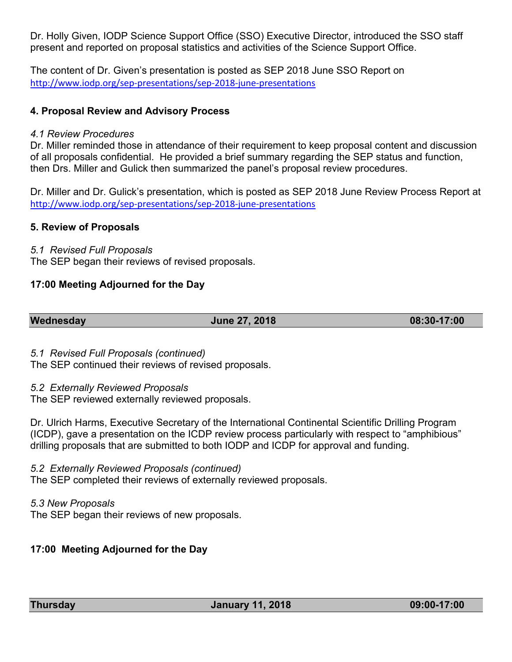Dr. Holly Given, IODP Science Support Office (SSO) Executive Director, introduced the SSO staff present and reported on proposal statistics and activities of the Science Support Office.

The content of Dr. Given's presentation is posted as SEP 2018 June SSO Report on http://www.iodp.org/sep-presentations/sep-2018-june-presentations

## **4. Proposal Review and Advisory Process**

#### *4.1 Review Procedures*

Dr. Miller reminded those in attendance of their requirement to keep proposal content and discussion of all proposals confidential. He provided a brief summary regarding the SEP status and function, then Drs. Miller and Gulick then summarized the panel's proposal review procedures.

Dr. Miller and Dr. Gulick's presentation, which is posted as SEP 2018 June Review Process Report at http://www.iodp.org/sep-presentations/sep-2018-june-presentations

### **5. Review of Proposals**

#### *5.1 Revised Full Proposals*

The SEP began their reviews of revised proposals.

### **17:00 Meeting Adjourned for the Day**

**Wednesday June 27, 2018 08:30-17:00** 

*5.1 Revised Full Proposals (continued)*

The SEP continued their reviews of revised proposals.

#### *5.2 Externally Reviewed Proposals*

The SEP reviewed externally reviewed proposals.

Dr. Ulrich Harms, Executive Secretary of the International Continental Scientific Drilling Program (ICDP), gave a presentation on the ICDP review process particularly with respect to "amphibious" drilling proposals that are submitted to both IODP and ICDP for approval and funding.

### *5.2 Externally Reviewed Proposals (continued)*

The SEP completed their reviews of externally reviewed proposals.

### *5.3 New Proposals*

The SEP began their reviews of new proposals.

### **17:00 Meeting Adjourned for the Day**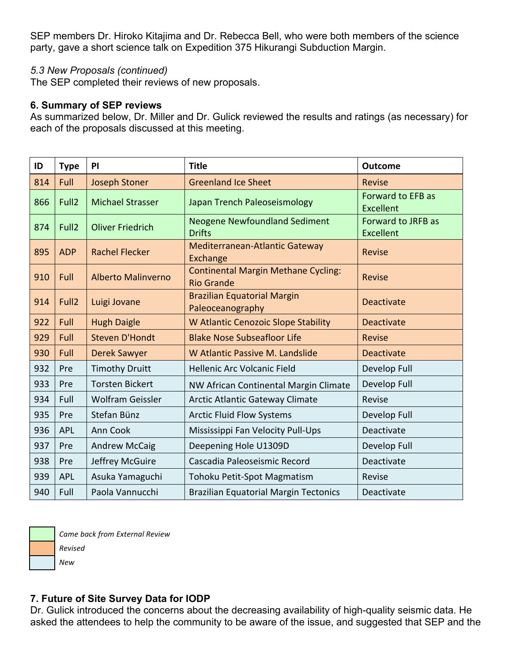SEP members Dr. Hiroko Kitajima and Dr. Rebecca Bell, who were both members of the science party, gave a short science talk on Expedition 375 Hikurangi Subduction Margin.

## *5.3 New Proposals (continued)*

The SEP completed their reviews of new proposals.

#### **6. Summary of SEP reviews**

As summarized below, Dr. Miller and Dr. Gulick reviewed the results and ratings (as necessary) for each of the proposals discussed at this meeting.

| ID  | <b>Type</b>       | PI                        | <b>Title</b>                                                    | <b>Outcome</b>                               |
|-----|-------------------|---------------------------|-----------------------------------------------------------------|----------------------------------------------|
| 814 | Full              | <b>Joseph Stoner</b>      | <b>Greenland Ice Sheet</b>                                      | <b>Revise</b>                                |
| 866 | Full <sub>2</sub> | <b>Michael Strasser</b>   | Japan Trench Paleoseismology                                    | <b>Forward to EFB as</b><br><b>Excellent</b> |
| 874 | Full <sub>2</sub> | <b>Oliver Friedrich</b>   | <b>Neogene Newfoundland Sediment</b><br><b>Drifts</b>           | Forward to JRFB as<br><b>Excellent</b>       |
| 895 | <b>ADP</b>        | <b>Rachel Flecker</b>     | <b>Mediterranean-Atlantic Gateway</b><br>Exchange               | <b>Revise</b>                                |
| 910 | Full              | <b>Alberto Malinverno</b> | <b>Continental Margin Methane Cycling:</b><br><b>Rio Grande</b> | <b>Revise</b>                                |
| 914 | Full <sub>2</sub> | Luigi Jovane              | <b>Brazilian Equatorial Margin</b><br>Paleoceanography          | <b>Deactivate</b>                            |
| 922 | Full              | <b>Hugh Daigle</b>        | <b>W Atlantic Cenozoic Slope Stability</b>                      | <b>Deactivate</b>                            |
| 929 | Full              | <b>Steven D'Hondt</b>     | <b>Blake Nose Subseafloor Life</b>                              | <b>Revise</b>                                |
| 930 | Full              | <b>Derek Sawyer</b>       | W Atlantic Passive M. Landslide                                 | <b>Deactivate</b>                            |
| 932 | Pre               | <b>Timothy Druitt</b>     | Hellenic Arc Volcanic Field                                     | Develop Full                                 |
| 933 | Pre               | <b>Torsten Bickert</b>    | NW African Continental Margin Climate                           | Develop Full                                 |
| 934 | Full              | <b>Wolfram Geissler</b>   | <b>Arctic Atlantic Gateway Climate</b>                          | Revise                                       |
| 935 | Pre               | Stefan Bünz               | <b>Arctic Fluid Flow Systems</b>                                | Develop Full                                 |
| 936 | <b>APL</b>        | Ann Cook                  | Mississippi Fan Velocity Pull-Ups                               | Deactivate                                   |
| 937 | Pre               | <b>Andrew McCaig</b>      | Deepening Hole U1309D                                           | Develop Full                                 |
| 938 | Pre               | Jeffrey McGuire           | Cascadia Paleoseismic Record                                    | Deactivate                                   |
| 939 | <b>APL</b>        | Asuka Yamaguchi           | Tohoku Petit-Spot Magmatism                                     | Revise                                       |
| 940 | Full              | Paola Vannucchi           | <b>Brazilian Equatorial Margin Tectonics</b>                    | Deactivate                                   |



*Revised New*

*Came back from External Review*

**7. Future of Site Survey Data for IODP**

Dr. Gulick introduced the concerns about the decreasing availability of high-quality seismic data. He asked the attendees to help the community to be aware of the issue, and suggested that SEP and the